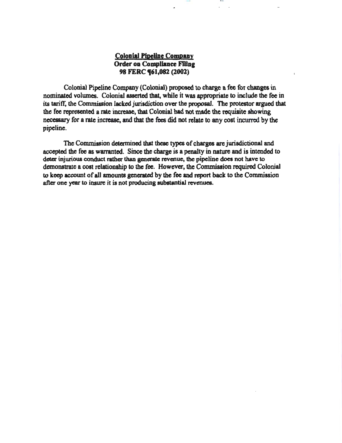## Colonial Pipeline Company Order on Compliance Filing 98 FERC **(61,082** (2002)

Colonial Pipeline Company (Colonial) proposed to charge a fee for changes in nominated volumes. Colonial asserted that, while it was appropriate to include the fee in its tariff, the Commission lacked jurisdiction over the proposal. The protestor argued that the fee represented a rate increase. that Colonial had not made the requisite showing . necessary for a rate increase, and that the fees did not relate to any cost incurred by the pipeline.

111 1 I I U

The Commission determined that these types of charges are jurisdictional and accepted the fee as warranted. Since the charge is a penalty in nature and is intended to deter injurious conduct rather than generate revenue, the pipeline does not have to demonstrate a cost relationship to the fee. However, the Commission required Colonial to keep account of all amounts generated by the fee and report back to the Commission after one year to insure it is not producing substantial revenues.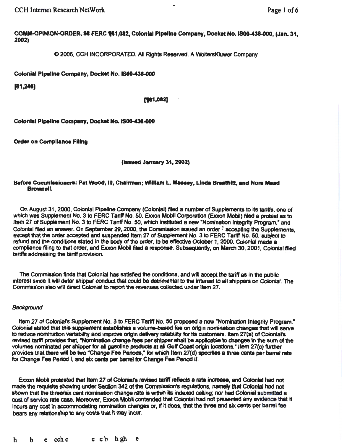**CCH Internet Research NetWork** 

COMM-OPINION-ORDER, 98 FERC 161,082, Colonial Pipeline Company, Docket No. IS00-436-000, (Jan. 31, 2002)

© 2005, CCH INCORPORATED. All Rights Reserved. A WoltersKluwer Company

Colonial Pipeline Company, Docket No. IS00-436-000

 $[61,246]$ 

[761,082]

Colonial Pipeline Company, Docket No. IS00-436-000

**Order on Compliance Filing** 

(Issued January 31, 2002)

### Before Commissioners: Pat Wood, III, Chairman; William L. Massey, Linda Breathitt, and Nora Mead **Brownell**.

On August 31, 2000, Colonial Pipeline Company (Colonial) filed a number of Supplements to its tariffs, one of which was Supplement No. 3 to FERC Tariff No. 50. Exxon Mobil Corporation (Exxon Mobil) filed a protest as to Item 27 of Supplement No. 3 to FERC Tariff No. 50, which instituted a new "Nomination Integrity Program." and Colonial filed an answer. On September 29, 2000, the Commission issued an order <sup>1</sup> accepting the Supplements. except that the order accepted and suspended Item 27 of Supplement No. 3 to FERC Tariff No. 50, subject to refund and the conditions stated in the body of the order, to be effective October 1, 2000. Colonial made a compliance filing to that order, and Exxon Mobil filed a response. Subsequently, on March 30, 2001, Colonial filed tariffs addressing the tariff provision.

The Commission finds that Colonial has satisfied the conditions, and will accept the tariff as in the public interest since it will deter shipper conduct that could be detrimental to the interest to all shippers on Colonial. The Commission also will direct Colonial to report the revenues collected under Item 27.

## Background

Item 27 of Colonial's Supplement No. 3 to FERC Tariff No. 50 proposed a new "Nomination Integrity Program." Colonial stated that this supplement establishes a volume-based fee on origin nomination changes that will serve to reduce nomination variability and improve origin delivery ratability for its customers. Item 27(a) of Colonial's revised tariff provides that, "Nomination change fees per shipper shall be applicable to changes in the sum of the volumes nominated per shipper for all gasoline products at all Gulf Coast origin locations." Item 27(c) further provides that there will be two "Change Fee Periods," for which Item 27(d) specifies a three cents per barrel rate for Change Fee Period I, and six cents per barrel for Change Fee Period II.

Exxon Mobil protested that Item 27 of Colonial's revised tariff reflects a rate increase, and Colonial had not made the requisite showing under Section 342 of the Commission's regulations, namely that Colonial had not shown that the three/six cent nomination change rate is within its indexed ceiling; nor had Colonial submitted a cost of service rate case. Moreover, Exxon Mobil contended that Colonial had not presented any evidence that it incurs any cost in accommodating nomination changes or, if it does, that the three and six cents per barrel fee bears any relationship to any costs that it may incur.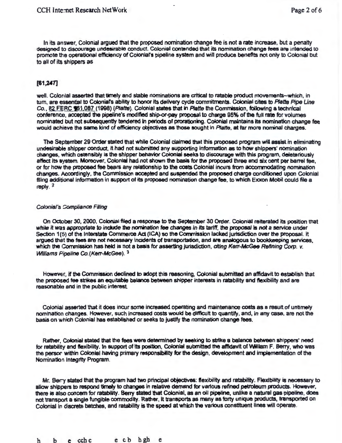In its answer, Colonial argued that the proposed nomination change fee is not a rate increase, but a penalty designed to discourage undesirable conduct. Colonial contended that its nomination change fees are intended to promote the operational efficiency of Colonial's pipeline system and will produce benefits not only to Colonial but to all of its shippers as

## (61,247]

well. Colonial asserted that timely and stable nominations are critical to ratable product movements-which, in tum, are essential to Coloniars ability to honor Its delivery cycle commitments. Colonial cites to Platte Pipe *Une*  Co., 82 FERC 161,087 (1998) (Platte). Colonial states that in Platte the Commission, following a technical conference, accepted the pipeline's modified ship-or-pay proposal to charge 95% of the full rate for volumes nominated but not subsequently tendered In periods of prorationing. Colonial maintains Its nomination change fee would achieve the same kind of efficiency objectives as those sought in Platte, at far more nominal charges.

The September 29 Order stated that while Colonial claimed that this proposed program will assist in eliminating undesirabte shipper conduct. It had not subrritted any supporting lnfonnation as to how shippers' nomination changes, which ostensibly is the shipper behavior Colonial seeks to discourage with this program, deleteriously affect Its system.. Moreover, Colonial had not shown the basia for the proposed three and six cent per barrel fee, or for how the proposed fee bears any relationship to the costs Colonial incurs from accommodating nomination changes. Accordingly, the Commission accepted and suspended the proposed charge conditioned upon Colonial filing additional information in support of its proposed nomination change fee, to which Exxon Mobil could file a reply  $<sup>2</sup>$ </sup>

#### Colonial's Compliance Filing

On October 30, 2000, Colonial filed a respome to the September 30 Order. Colonial reiterated Its position that while it was appropriate to indude the nomination fee changes In Its tarttf, the *proposal* is not a service under Section 1(5) of the Interstate Commerce Act (ICA) so the Commission lacked jurisdiction over the proposal. It argued that the tees are not necessary Incidents of transportation, and are analogous to bookkeeping services, which the Commission has held is not a basis for asserting jurisdiction, citing Kerr-McGee Refining Corp. v. Williams Pipeline Co.(Kerr-McGee). 3

However, if the Commission declined to adopt this reasoning, Colonial submitted an affidavit to establish that the proposed fee strikes an equitable balance between shipper interests in ratability and flexibility and are reasonable and in the public interest

Colonial asserted that it does incur some increased operating and maintenance costs as a result of untimely nomination changes. However, such increased costs would be difficult to quantify, and, in any case, are not the basis on which Colonial has established or seeks to justify the nomination change fees.

Rather, Colonial stated that the fees were determined by seeking to strike a balance between shippers' need for ratability and flexibility. In support of its position, Colonial submitted the affidavit of William F. Berry, who was the persor within Colonial having primary responsibility for the design, development and Implementation of the Nomination Integrity Program.

Mr. Ber.y stated that the program had two principal objectives: flexibility and ratability. Flexibility is necessary to allow shippers to respond timely to changes in relative demand for various refined petroleum products. However, there is also concern for ratability. Berry stated that Colonial, as an oil pipeline, unlike a natural gas pipeline, does not transport a single fungible commodity. Rather, it transports as many as forty unique products, transported on Colonial in discrete batches, and ratability is the speed at which the various constituent lines will operate.

h b e cchc e cb hgh e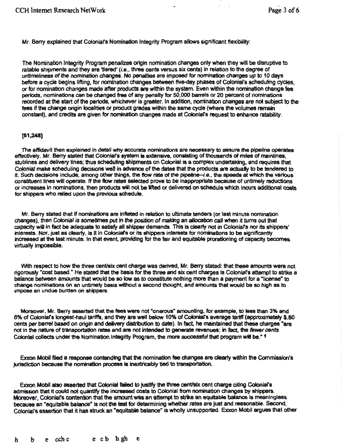Mr. Berry explained that Colonial's Nomination Integrity Program allows significant flexibility:

The Nomination Integrity Program penalizes origin nomination changes only when they will be disruptive to ratable shipments and they are 'tiered' (i.e., three cents versus six cents) in relation to the degree of untimeliness of the nomination changes. No penalties are imposed for nomination changes up to 10 days before a cycle begins lifting, for nomination changes between five-day phases of Colonial's scheduling cycles, or for nomination changes made after products are within the system. Even within the nomination change fee periods, nominations can be changed free of any penalty for 50,000 barrels or 20 percent of nomtnations recorded at the start of the periods, whichever is greater. In addition, nomination changes are not subject to the fees if the change origin localities or product grades within the same cyde (where the volumes remain constant). and credits are given for nomination changes made at Colonlafs request to enhance ratability.

## [81,248]

The affidavit then explained In detail why accurate nominations are necessary to assure the pipeline operates effectively. Mr. Berry stated that Colonial's system is extensive, consisting of thousands of miles of mainlines, stublines and delivery lines; thus scheduling shipments on Colonial is a complex undertaking, and requires that Colonial make scheduling decisions well in advance of the dates that the products are actually to be tendered to it. Such decisions include, among other things, the flow rate of the pipeline-i.e., the speeds at which the various constituent lines will operate. If the flow rates selected prove to be inappropriate because of untimely reductions or increases in nominations, then products will not be lifted or delivered on schedule which Incurs additional costs for shippers who relied upon the previous schedule.

Mr. Berry stated that if nominations are lnftated in relation to ultimate tenders (or last minute nomination changes), then Colonial is sometimes put in the position of making an allocation call when it turns out that capacity wiU in fact be adequate to satisfy all shipper demands. This is clearly not in Cotonlars nor its shippers' interests. Nor, just as clearly, is it in Colonial's or its shippers interests for nominations to be significantly Increased at the last minute. In that event, providing for the fair and equitable prorationlng of capacity becomes virtually impossible.

'Mth respect to how the three cent/six cent charge was derived, Mr. Beny stated: that these amounts were not rigorously "cost based." He stated that the basis for the three and six cent charges is Coloniar's attempt to strike a balance between amounts that would be so low as to constitute nothing more than a payment for a "license" to change nominations on an untimely basis without a second thought, and amounts that would be so high as to impose an undue burden on shippers.

Moreover, Mr. Berry asserted that the fees were not "onerous" amounting, for example, to less than 3% and 6% of Colonial's longest-haul tariffs, and they are well below 10% of Colonial's average tariff (approximately \$.80 cents per barrel based on origin and delivery distribution to date). In fact, he maintained that these charges "are not in the nature of transportation rates and are not intended to generate revenues; in fact, the fewer cents Colonial collects under the Nomination Integrity Program, the more successful that program will be."  $\frac{4}{3}$ 

Exxon Mobil filed a response contending that the nomination fee changes are clearly within the Commission's jurisdiction because the nomination process is Inextricably tied to tranaportation.

Exxon Mobil also asserted that Colonial failed to justify the three cent/six cent charge citing Colonial's admission that it could not quantify the increased costs to Colonial from nomination changes by shippers. Ebocon Mobil also asserted that Colonial failed to justify the three cent/six cent charge citing Colonial's<br>admission that it could not quantify the increased costs to Colonial from nomination changes by shippers.<br>Moreover because an "equitable balance" is not the test for determining whether rates are just and reasonable. Second, Colonial's assertion that it has struck an "equitable balance" is wholly unsupported. Exxon Mobil argues that other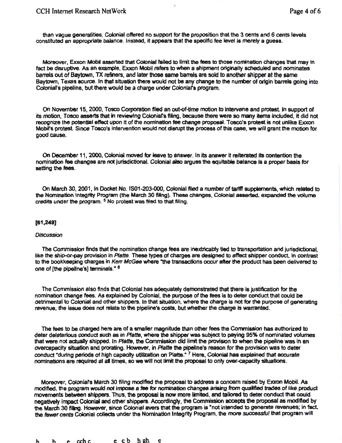than vague generalities, Colonial offered no support for the proposition that the 3 cents and 6 cents levels constituted an appropriate balance. Instead, it appears that the specific fee level is merely a guess.

Moreover, Exxon Mobil asserted that Colonial failed to limit the fees to those nomination changes that may In tact be disruptive. As an example, Exxon Mobil refers to when a shipment originally scheduled and nominates barrels out of Baytown, TX refiners, and later those same barrels are sold to another shipper at the same Baytown, Texas source. In that situation there would not be any change to the number of origin barrels going into Colonial's pipeline, but there would be a charge under Colonial's program.

On November 15, 2000, Tosco Corporation filed an out-of-time motion to Intervene and protest In support of its motion. Tosco asserts that in reviewing Colonial's filing, because there were so many items included, it did not recognize the potential effect upon it of the nomination fee change proposal. Tosco's protest is not unlike Exxon Mobirs protest Since Tosco's Intervention would not disrupt the process of this case, we will grant the motion for good cause.

On December 11, 2000, Colonial moved fer leave to answer. In its answer It reiterated tts contention the nomination fee changes are not jurisdictional. Colonial also argues the equitable balance Is a proper basis for setting the fees.

On March 30, 2001 , in Docket No. 1801-203-000, Colonial flied a number of tariff supplements, which related to the Nomination Integrity Program (the March 30 fiNng). These changes, Colonial asserted, expanded the volume credits under the program.  $5$  No protest was filed to that filing.

#### $[61,249]$

#### **Discussion**

The Commission finds that the nomination change fees are inextricably tied to transportation and jurisdictional, like the ship-or-pay provision in Platte. These types of charges are designed to affect shipper conduct, in contrast to the bookkeeping charges in Kerr McGee where "the transactions occur after the product has been delivered to one of [the pipeline's] terminals." <sup>6</sup>

The Commission also finds that Colonial has adequately demonstrated that there is justification for the nomination change fees. As explained by Colonial, the purpose of the fees is to deter conduct that could be detrimental to Colonial and other shippers. In that situation, where the charge is not for the purpose of generating revenue, the issue does not relate to the pipeline's costs, but whether the charge is warranted.

The fees to be charged here are of a smaller magnitude than other fees the Commission has authorized to deter deleterious conduct such as in Platte, where the shipper was subject to paying 95% of nominated volumes that were not actually shipped. In Platte, the Commission did limit the provision to when the pipeline was in an overcapacity situation and prorating. However, in Platte the pipeline's reason for the provision was to deter conduct "during periods of high capacity utilization on Platte." 7 Here, Colonial has explained that accurate nominations are required at al times, ao we will not limit the proposal to only over-capacity situations.

Moreover, Colonlars March 30 filing modified the proposal to address a concern raised by Exxon MobiJ. As modified, the program would not impose a fee for nomination changes arising from qualified trades of like product movements between shippers. Thus, the proposal is now more limited, and tailcined to deter conduct that could negatively impact Colonial and other shippers. Accordingly, the Commission accepts the proposal as modified by the March 30 filing. However, since Colonial avers that the program is "not intended to generate revenues: in fact, the fewer cents Coionial collects under the Nomination Integrity Program, the more successful that program will

h b e cchc e cb hgh e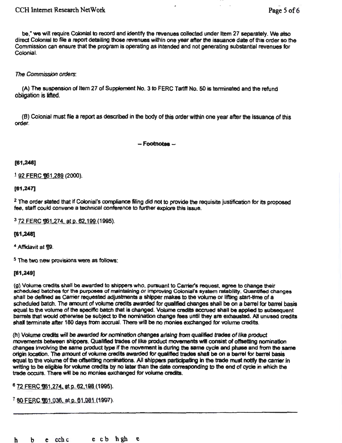# CCH Internet Research NetWork **Page 5 of 6**

be," we will require Colonial to record and identify the revenues collected under Item 27 separately. We also direct Colonial to file a raport detailing those revenues within one year after the issuance date of this order so the Commission can ensure that the program is operating as intended and not generating substantial revenues for Colonial.

## The Commission orders:

(A) The suspension of Item 27 of Supplement No. 3 to FERC Tariff No. 50 is terminated and the refund obligation is lifted.

(B) Colonial must file a report as described in the body of this order within one year after the Issuance of this order.

- Footnotes.-

## $[61,248]$

 $1$  92 FERC 161, 289 (2000).

### (81,247)

<sup>2</sup> The order stated that if Colonial's compliance filing did not to provide the requisite justification for its proposed fee, staff could convene a technical conference to further explore this Issue.

<sup>3</sup> 72 FERC **[161,274, at p. 62,199 (1995).** 

#### (81,248]

<sup>4</sup> Affidavit at Ti9.

5 The two new provisions were as follows:

## (81,248]

(g) Volume credits shall be awarded to shippers who, pursuant to Carrier's request, agree to change their scheduled batches for the purposes of maintaining or Improving Colonial's ayatem ratability. Quantified changes shall be defined as Carrier requested adjustments a shipper makes to the volume or lifting start-time of a scheduled batch. The anount of volume credits awarded fer qualified changes shall be on a barrel for barrel basis equal to the volume of the specific batch that is changed. Volume credits accrued shall be applied to subsequent barrels that would otherwise be subject to the nomination change fees until they are exhausted. All unused credits shall terminate after 180 days from accrual. There will be no monies exchanged for volume credits.

(h) Volume aec1ts wrll be awarded *lor* norrination changes ar1alng from qualified trades of Ilks product movements between shippers. Qualified trades of like product movements will consist of offsetting nomination changes Involving the same product type If the movement is durtng the same cycle and phase and from the same origin location. The amount of volume credits awarded for quallfted trades shal be on a barrel for barret basis equal to the volume of the offsetting nominations. All shippers participating in the trade must notify the carrier in writing to be eligible for volume credits by no later than the date correspondfng to the end of cycle in which the trade occurs. There will be no monies exchanged for volume credits.

<sup>6</sup> 72 FERC ¶61,274, at p. 62,198 (1995).

<sup>7</sup> 80 FERC 1061, 036, at p. 61, 081 (1997).